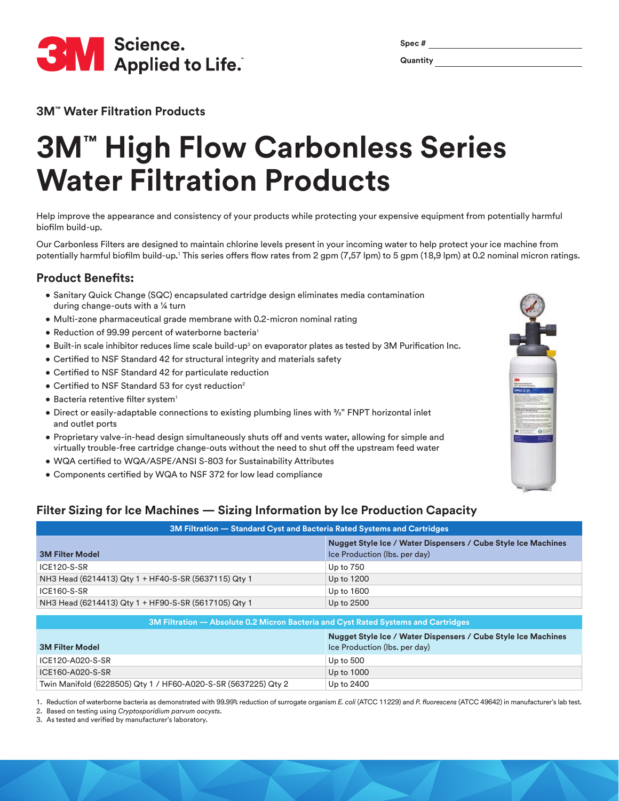

| ۰, |  |
|----|--|
|    |  |

**3M™ Water Filtration Products** 

# **3M™ High Flow Carbonless Series Water Filtration Products**

Help improve the appearance and consistency of your products while protecting your expensive equipment from potentially harmful biofilm build-up.

Our Carbonless Filters are designed to maintain chlorine levels present in your incoming water to help protect your ice machine from potentially harmful biofilm build-up.<sup>1</sup> This series offers flow rates from 2 gpm (7,57 lpm) to 5 gpm (18,9 lpm) at 0.2 nominal micron ratings.

#### **Product Benefits:**

- Sanitary Quick Change (SQC) encapsulated cartridge design eliminates media contamination during change-outs with a ¼ turn
- Multi-zone pharmaceutical grade membrane with 0.2-micron nominal rating
- Reduction of 99.99 percent of waterborne bacteria<sup>1</sup>
- $\bullet$  Built-in scale inhibitor reduces lime scale build-up $^3$  on evaporator plates as tested by 3M Purification Inc.
- Certified to NSF Standard 42 for structural integrity and materials safety
- Certified to NSF Standard 42 for particulate reduction
- Certified to NSF Standard 53 for cyst reduction<sup>2</sup>
- Bacteria retentive filter system<sup>1</sup>
- Direct or easily-adaptable connections to existing plumbing lines with  $\frac{3}{8}$ " FNPT horizontal inlet and outlet ports
- Proprietary valve-in-head design simultaneously shuts off and vents water, allowing for simple and virtually trouble-free cartridge change-outs without the need to shut off the upstream feed water
- WQA certified to WQA/ASPE/ANSI S-803 for Sustainability Attributes
- Components certified by WQA to NSF 372 for low lead compliance

### **Filter Sizing for Ice Machines — Sizing Information by Ice Production Capacity**

| 3M Filtration — Standard Cyst and Bacteria Rated Systems and Cartridges            |                                                                                                |  |  |  |
|------------------------------------------------------------------------------------|------------------------------------------------------------------------------------------------|--|--|--|
| <b>3M Filter Model</b>                                                             | Nugget Style Ice / Water Dispensers / Cube Style Ice Machines<br>Ice Production (Ibs. per day) |  |  |  |
| ICE120-S-SR                                                                        | Up to $750$                                                                                    |  |  |  |
| NH3 Head (6214413) Qty 1 + HF40-S-SR (5637115) Qty 1                               | Up to 1200                                                                                     |  |  |  |
| ICE160-S-SR                                                                        | Up to 1600                                                                                     |  |  |  |
| NH3 Head (6214413) Qty 1 + HF90-S-SR (5617105) Qty 1                               | Up to 2500                                                                                     |  |  |  |
| 3M Filtration — Absolute 0.2 Micron Bacteria and Cyst Rated Systems and Cartridges |                                                                                                |  |  |  |
|                                                                                    | Nugget Style Ice / Water Dispensers / Cube Style Ice Machines                                  |  |  |  |

|                                                                | $1.1$ and $2.1$ and $1.0$ and $1.0$ and $1.0$ and $1.0$ and $1.0$ and $1.0$ and $1.0$ and $1.0$ and $1.0$ |
|----------------------------------------------------------------|-----------------------------------------------------------------------------------------------------------|
| <b>3M Filter Model</b>                                         | Ice Production (Ibs. per day)                                                                             |
| ICE120-A020-S-SR                                               | Up to 500                                                                                                 |
| ICE160-A020-S-SR                                               | Up to 1000                                                                                                |
| Twin Manifold (6228505) Qty 1 / HF60-A020-S-SR (5637225) Qty 2 | Up to 2400                                                                                                |

1. Reduction of waterborne bacteria as demonstrated with 99.99% reduction of surrogate organism *E. coli* (ATCC 11229) and *P. fluorescens* (ATCC 49642) in manufacturer's lab test.

2. Based on testing using *Cryptosporidium parvum oocysts*.

3. As tested and verified by manufacturer's laboratory.